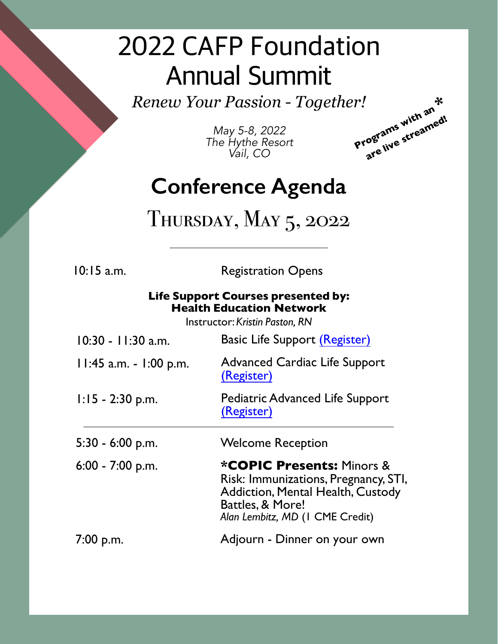## 2022 CAFP Foundation Annual Summit

*Renew Your Passion - Together!*

*May 5-8, 2022 The Hythe Resort Vail, CO*



#### **Conference Agenda**

#### THURSDAY, MAY 5, 2022

10:15 a.m. Registration Opens

#### **Life Support Courses presented by: Health Education Network**

Instructor:*Kristin Paston, RN*

| $10:30 - 11:30$ a.m.     | <b>Basic Life Support (Register)</b>                                                                                                                                            |  |  |
|--------------------------|---------------------------------------------------------------------------------------------------------------------------------------------------------------------------------|--|--|
| $11:45$ a.m. - 1:00 p.m. | <b>Advanced Cardiac Life Support</b><br>(Register)                                                                                                                              |  |  |
| $1:15 - 2:30$ p.m.       | <b>Pediatric Advanced Life Support</b><br>(Register)                                                                                                                            |  |  |
| $5:30 - 6:00$ p.m.       | <b>Welcome Reception</b>                                                                                                                                                        |  |  |
| $6:00 - 7:00$ p.m.       | <b>*COPIC Presents: Minors &amp;</b><br>Risk: Immunizations, Pregnancy, STI,<br><b>Addiction, Mental Health, Custody</b><br>Battles, & More!<br>Alan Lembitz, MD (I CME Credit) |  |  |
| 7:00 p.m.                | Adjourn - Dinner on your own                                                                                                                                                    |  |  |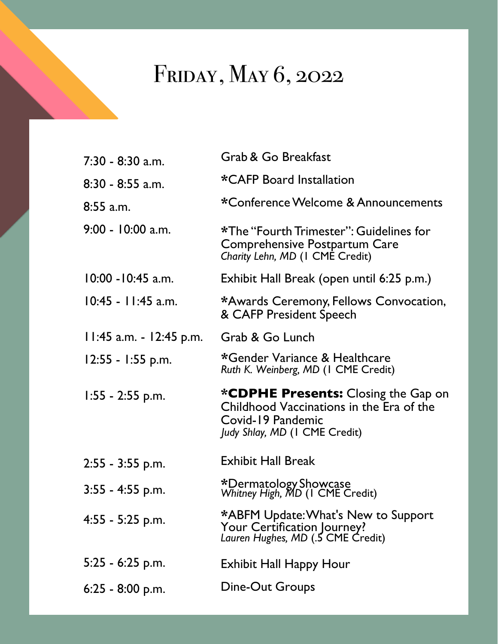### FRIDAY, MAY 6, 2022

| 7:30 - 8:30 a.m.        | Grab & Go Breakfast                                                                                         |
|-------------------------|-------------------------------------------------------------------------------------------------------------|
| 8:30 - 8:55 a.m.        | *CAFP Board Installation                                                                                    |
| 8:55 a.m.               | *Conference Welcome & Announcements                                                                         |
| 9:00 - 10:00 a.m.       | *The "Fourth Trimester": Guidelines for<br>Comprehensive Postpartum Care<br>Charity Lehn, MD (I CME Credit) |
| $10:00 - 10:45$ a.m.    | Exhibit Hall Break (open until 6:25 p.m.)                                                                   |
| 10:45 - 11:45 a.m.      | *Awards Ceremony, Fellows Convocation,<br>& CAFP President Speech                                           |
| 11:45 a.m. - 12:45 p.m. | Grab & Go Lunch                                                                                             |
| $12:55 - 1:55$ p.m.     | *Gender Variance & Healthcare<br>Ruth K. Weinberg, MD (I CME Credit)                                        |
| $1:55 - 2:55$ p.m.      | <b>*CDPHE Presents:</b> Closing the Gap on                                                                  |
|                         | Childhood Vaccinations in the Era of the<br>Covid-19 Pandemic<br>Judy Shlay, MD (I CME Credit)              |
| 2:55 - 3:55 p.m.        | <b>Exhibit Hall Break</b>                                                                                   |
| $3:55 - 4:55$ p.m.      | *Dermatology Showcase<br>Whitney High, MD (1 CME Credit)                                                    |
| 4:55 - 5:25 p.m.        | *ABFM Update: What's New to Support<br>Your Certification Journey?<br>Lauren Hughes, MD (.5 CME Credit)     |
| 5:25 - 6:25 p.m.        | <b>Exhibit Hall Happy Hour</b>                                                                              |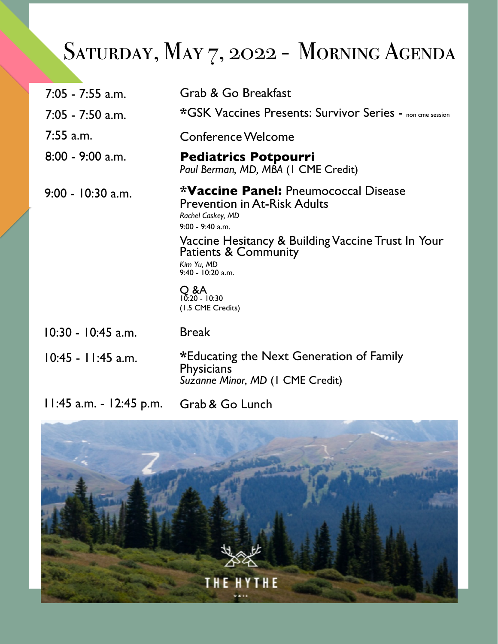## SATURDAY, MAY 7, 2022 - MORNING AGENDA

| $7:05 - 7:55$ a.m.      | Grab & Go Breakfast                                                                                                                                                                                                                                                                              |  |  |
|-------------------------|--------------------------------------------------------------------------------------------------------------------------------------------------------------------------------------------------------------------------------------------------------------------------------------------------|--|--|
| $7:05 - 7:50$ a.m.      | *GSK Vaccines Presents: Survivor Series - non cme session                                                                                                                                                                                                                                        |  |  |
| $7:55$ a.m.             | Conference Welcome                                                                                                                                                                                                                                                                               |  |  |
| $8:00 - 9:00$ a.m.      | <b>Pediatrics Potpourri</b><br>Paul Berman, MD, MBA (1 CME Credit)                                                                                                                                                                                                                               |  |  |
| 9:00 - 10:30 a.m.       | <b>*Vaccine Panel:</b> Pneumococcal Disease<br><b>Prevention in At-Risk Adults</b><br>Rachel Caskey, MD<br>$9:00 - 9:40$ a.m.<br>Vaccine Hesitancy & Building Vaccine Trust In Your<br>Patients & Community<br>Kim Yu, MD<br>$9:40 - 10:20$ a.m.<br>O &A<br>$10:20 - 10:30$<br>(1.5 CME Credits) |  |  |
| $10:30 - 10:45$ a.m.    | <b>Break</b>                                                                                                                                                                                                                                                                                     |  |  |
| 10:45 - 11:45 a.m.      | *Educating the Next Generation of Family<br><b>Physicians</b><br>Suzanne Minor, MD (I CME Credit)                                                                                                                                                                                                |  |  |
| 11:45 a.m. - 12:45 p.m. | Grab & Go Lunch                                                                                                                                                                                                                                                                                  |  |  |

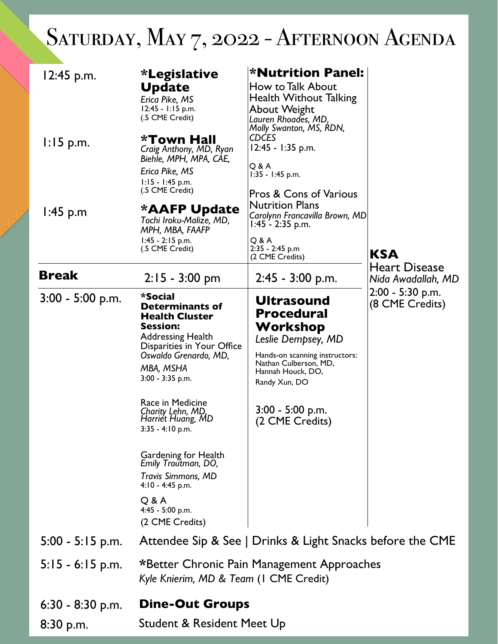## SATURDAY, MAY 7, 2022 - AFTERNOON AGENDA

| $12:45$ p.m.                      | <i>*</i> Legislative<br><b>Update</b><br>Erica Pike, MS<br>12:45 - 1:15 p.m.<br>(.5 CME Credit)                                                                                                                                                                                                                                                                                                                                | <b>*Nutrition Panel:</b><br>How to Talk About<br>Health Without Talking<br>About Weight<br>Lauren Rhoades, MD,                                                                                                     |                                            |
|-----------------------------------|--------------------------------------------------------------------------------------------------------------------------------------------------------------------------------------------------------------------------------------------------------------------------------------------------------------------------------------------------------------------------------------------------------------------------------|--------------------------------------------------------------------------------------------------------------------------------------------------------------------------------------------------------------------|--------------------------------------------|
| $1:15$ p.m.                       | *Town Hall<br>Craig Anthony, MD, Ryan<br>Biehle, MPH, MPA, CAE,<br>Erica Pike, MS<br>$1:15 - 1:45$ p.m.<br>(.5 CME Credit)                                                                                                                                                                                                                                                                                                     | Molly Swanton, MS, RDN,<br><b>CDCES</b><br>12:45 - 1:35 p.m.<br>Q & A<br>$1:35 - 1:45$ p.m.<br><b>Pros &amp; Cons of Various</b><br><b>Nutrition Plans</b>                                                         |                                            |
| $1:45$ p.m                        | *AAFP Update<br>Tochi Iroku-Malize, MD,<br>MPH, MBA, FAAFP<br>$1:45 - 2:15$ p.m.<br>(.5 CME Credit)                                                                                                                                                                                                                                                                                                                            | Carolynn Francavilla Brown, MD<br>$1:45 - 2:35$ p.m.<br>Q & A<br>$2:35 - 2:45$ p.m<br>(2 CME Credits)                                                                                                              | <b>KSA</b>                                 |
| <b>Break</b>                      | $2:15 - 3:00$ pm                                                                                                                                                                                                                                                                                                                                                                                                               | $2:45 - 3:00$ p.m.                                                                                                                                                                                                 | <b>Heart Disease</b><br>Nida Awadallah, MD |
| $3:00 - 5:00$ p.m.                | *Social<br><b>Determinants of</b><br><b>Health Cluster</b><br><b>Session:</b><br><b>Addressing Health</b><br>Disparities in Your Office<br>Oswaldo Grenardo, MD,<br>MBA, MSHA<br>3:00 - 3:35 p.m.<br>Race in Medicine<br>Charity Lehn, MD,<br>Harriét Huang, MD<br>3:35 - 4:10 p.m.<br>Gardening for Health<br>Emily Troutman, DO,<br>Travis Simmons, MD<br>$4:10 - 4:45$ p.m.<br>Q & A<br>4:45 - 5:00 p.m.<br>(2 CME Credits) | <b>Ultrasound</b><br><b>Procedural</b><br>Workshop<br>Leslie Dempsey, MD<br>Hands-on scanning instructors:<br>Nathan Culberson, MD,<br>Hannah Houck, DO,<br>Randy Xun, DO<br>$3:00 - 5:00$ p.m.<br>(2 CME Credits) | $2:00 - 5:30$ p.m.<br>(8 CME Credits)      |
| $5:00 - 5:15$ p.m.                |                                                                                                                                                                                                                                                                                                                                                                                                                                | Attendee Sip & See   Drinks & Light Snacks before the CME                                                                                                                                                          |                                            |
| $5:15 - 6:15$ p.m.                | *Better Chronic Pain Management Approaches<br>Kyle Knierim, MD & Team (I CME Credit)                                                                                                                                                                                                                                                                                                                                           |                                                                                                                                                                                                                    |                                            |
| $6:30 - 8:30$ p.m.<br>$8:30$ p.m. | <b>Dine-Out Groups</b><br>Student & Resident Meet Up                                                                                                                                                                                                                                                                                                                                                                           |                                                                                                                                                                                                                    |                                            |